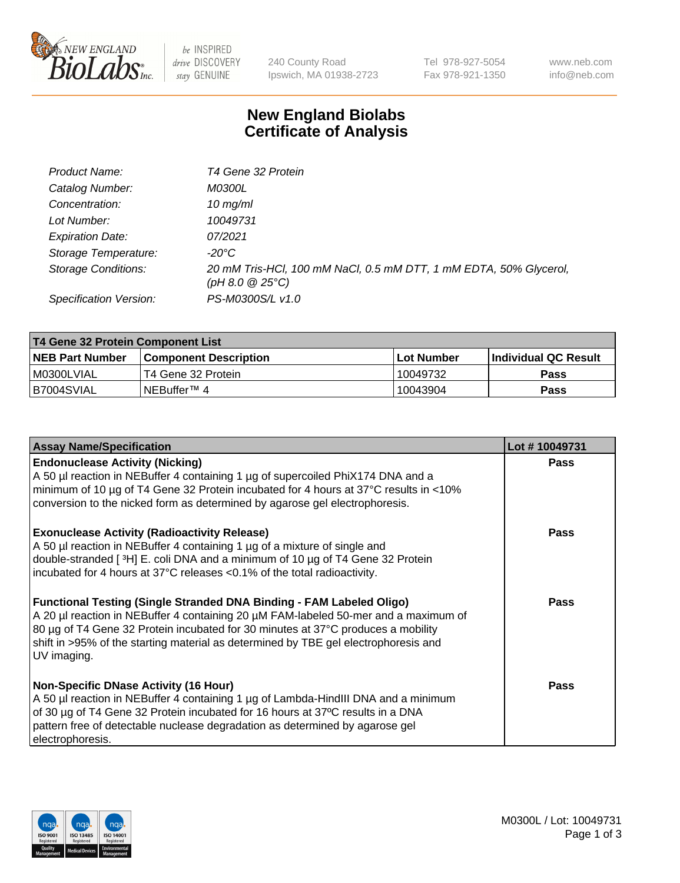

 $be$  INSPIRED drive DISCOVERY stay GENUINE

240 County Road Ipswich, MA 01938-2723 Tel 978-927-5054 Fax 978-921-1350 www.neb.com info@neb.com

## **New England Biolabs Certificate of Analysis**

| Product Name:              | T4 Gene 32 Protein                                                                     |
|----------------------------|----------------------------------------------------------------------------------------|
| Catalog Number:            | <i>M0300L</i>                                                                          |
| Concentration:             | $10 \, \text{mg/ml}$                                                                   |
| Lot Number:                | 10049731                                                                               |
| <b>Expiration Date:</b>    | 07/2021                                                                                |
| Storage Temperature:       | -20°C                                                                                  |
| <b>Storage Conditions:</b> | 20 mM Tris-HCl, 100 mM NaCl, 0.5 mM DTT, 1 mM EDTA, 50% Glycerol,<br>(pH 8.0 $@25°C$ ) |
| Specification Version:     | PS-M0300S/L v1.0                                                                       |

| T4 Gene 32 Protein Component List |                              |            |                       |  |  |
|-----------------------------------|------------------------------|------------|-----------------------|--|--|
| <b>NEB Part Number</b>            | <b>Component Description</b> | Lot Number | ∣Individual QC Result |  |  |
| M0300LVIAL                        | T4 Gene 32 Protein           | 10049732   | <b>Pass</b>           |  |  |
| B7004SVIAL                        | INEBuffer™ 4                 | 10043904   | <b>Pass</b>           |  |  |

| <b>Assay Name/Specification</b>                                                                                                                                                                                                                                                                                                                              | Lot #10049731 |
|--------------------------------------------------------------------------------------------------------------------------------------------------------------------------------------------------------------------------------------------------------------------------------------------------------------------------------------------------------------|---------------|
| <b>Endonuclease Activity (Nicking)</b><br>A 50 µl reaction in NEBuffer 4 containing 1 µg of supercoiled PhiX174 DNA and a<br>minimum of 10 µg of T4 Gene 32 Protein incubated for 4 hours at 37°C results in <10%<br>conversion to the nicked form as determined by agarose gel electrophoresis.                                                             | <b>Pass</b>   |
| <b>Exonuclease Activity (Radioactivity Release)</b><br>A 50 µl reaction in NEBuffer 4 containing 1 µg of a mixture of single and<br>double-stranded [3H] E. coli DNA and a minimum of 10 µg of T4 Gene 32 Protein<br>incubated for 4 hours at 37°C releases <0.1% of the total radioactivity.                                                                | <b>Pass</b>   |
| <b>Functional Testing (Single Stranded DNA Binding - FAM Labeled Oligo)</b><br>A 20 µl reaction in NEBuffer 4 containing 20 µM FAM-labeled 50-mer and a maximum of<br>80 µg of T4 Gene 32 Protein incubated for 30 minutes at 37°C produces a mobility<br>shift in >95% of the starting material as determined by TBE gel electrophoresis and<br>UV imaging. | <b>Pass</b>   |
| <b>Non-Specific DNase Activity (16 Hour)</b><br>A 50 µl reaction in NEBuffer 4 containing 1 µg of Lambda-HindIII DNA and a minimum<br>of 30 µg of T4 Gene 32 Protein incubated for 16 hours at 37°C results in a DNA<br>pattern free of detectable nuclease degradation as determined by agarose gel<br>electrophoresis.                                     | Pass          |

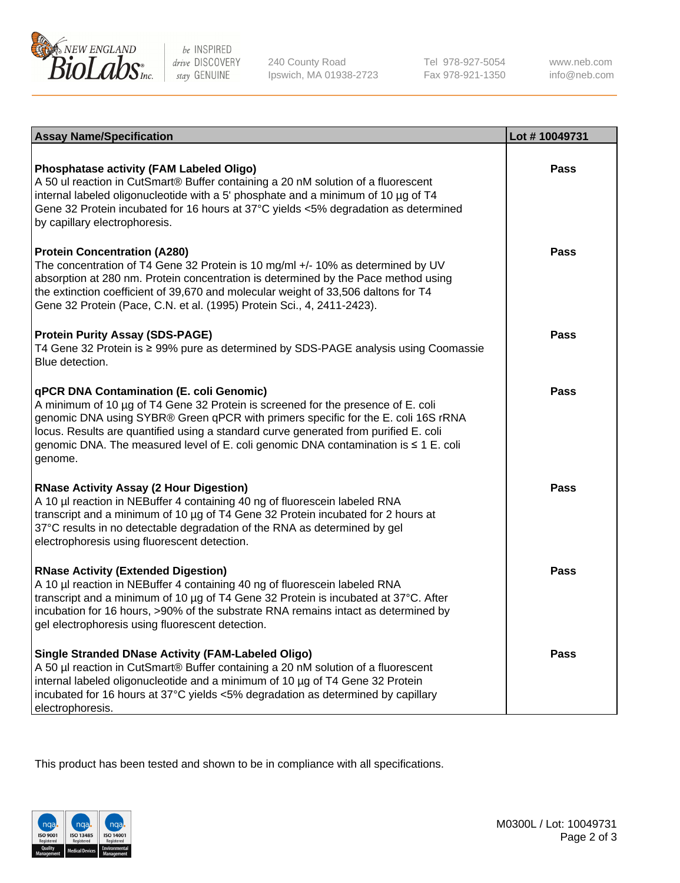

be INSPIRED drive DISCOVERY stay GENUINE

240 County Road Ipswich, MA 01938-2723 Tel 978-927-5054 Fax 978-921-1350 www.neb.com info@neb.com

| <b>Assay Name/Specification</b>                                                                                                                                                                                                                                                                                                                                                                             | Lot #10049731 |
|-------------------------------------------------------------------------------------------------------------------------------------------------------------------------------------------------------------------------------------------------------------------------------------------------------------------------------------------------------------------------------------------------------------|---------------|
| Phosphatase activity (FAM Labeled Oligo)<br>A 50 ul reaction in CutSmart® Buffer containing a 20 nM solution of a fluorescent<br>internal labeled oligonucleotide with a 5' phosphate and a minimum of 10 µg of T4<br>Gene 32 Protein incubated for 16 hours at 37°C yields <5% degradation as determined<br>by capillary electrophoresis.                                                                  | Pass          |
| <b>Protein Concentration (A280)</b><br>The concentration of T4 Gene 32 Protein is 10 mg/ml +/- 10% as determined by UV<br>absorption at 280 nm. Protein concentration is determined by the Pace method using<br>the extinction coefficient of 39,670 and molecular weight of 33,506 daltons for T4<br>Gene 32 Protein (Pace, C.N. et al. (1995) Protein Sci., 4, 2411-2423).                                | Pass          |
| <b>Protein Purity Assay (SDS-PAGE)</b><br>T4 Gene 32 Protein is ≥ 99% pure as determined by SDS-PAGE analysis using Coomassie<br>Blue detection.                                                                                                                                                                                                                                                            | Pass          |
| qPCR DNA Contamination (E. coli Genomic)<br>A minimum of 10 µg of T4 Gene 32 Protein is screened for the presence of E. coli<br>genomic DNA using SYBR® Green qPCR with primers specific for the E. coli 16S rRNA<br>locus. Results are quantified using a standard curve generated from purified E. coli<br>genomic DNA. The measured level of E. coli genomic DNA contamination is ≤ 1 E. coli<br>genome. | Pass          |
| <b>RNase Activity Assay (2 Hour Digestion)</b><br>A 10 µl reaction in NEBuffer 4 containing 40 ng of fluorescein labeled RNA<br>transcript and a minimum of 10 µg of T4 Gene 32 Protein incubated for 2 hours at<br>37°C results in no detectable degradation of the RNA as determined by gel<br>electrophoresis using fluorescent detection.                                                               | Pass          |
| <b>RNase Activity (Extended Digestion)</b><br>A 10 µl reaction in NEBuffer 4 containing 40 ng of fluorescein labeled RNA<br>transcript and a minimum of 10 µg of T4 Gene 32 Protein is incubated at 37°C. After<br>incubation for 16 hours, >90% of the substrate RNA remains intact as determined by<br>gel electrophoresis using fluorescent detection.                                                   | Pass          |
| <b>Single Stranded DNase Activity (FAM-Labeled Oligo)</b><br>A 50 µl reaction in CutSmart® Buffer containing a 20 nM solution of a fluorescent<br>internal labeled oligonucleotide and a minimum of 10 µg of T4 Gene 32 Protein<br>incubated for 16 hours at 37°C yields <5% degradation as determined by capillary<br>electrophoresis.                                                                     | Pass          |

This product has been tested and shown to be in compliance with all specifications.